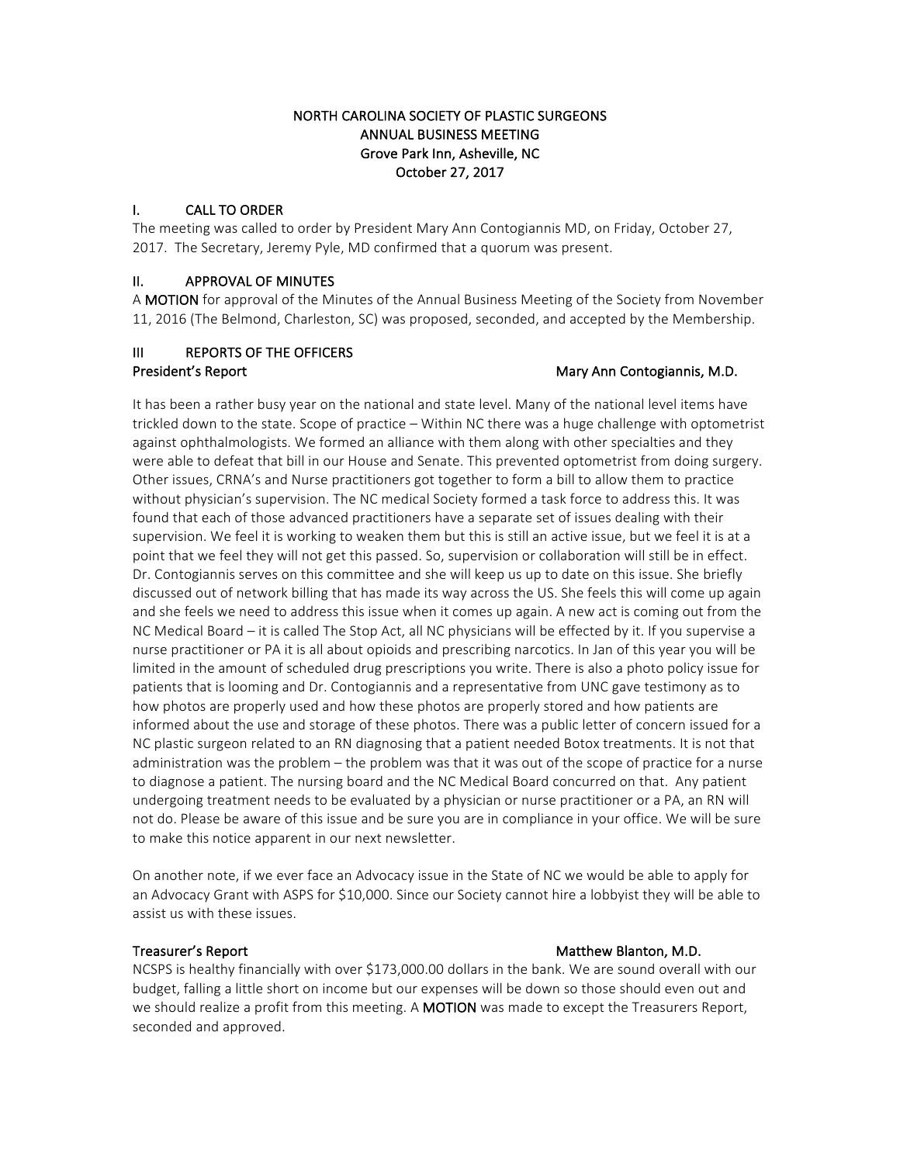## NORTH CAROLINA SOCIETY OF PLASTIC SURGEONS ANNUAL BUSINESS MEETING Grove Park Inn, Asheville, NC October 27, 2017

## I. CALL TO ORDER

The meeting was called to order by President Mary Ann Contogiannis MD, on Friday, October 27, 2017. The Secretary, Jeremy Pyle, MD confirmed that a quorum was present.

## II. APPROVAL OF MINUTES

A MOTION for approval of the Minutes of the Annual Business Meeting of the Society from November 11, 2016 (The Belmond, Charleston, SC) was proposed, seconded, and accepted by the Membership.

# III REPORTS OF THE OFFICERS President's Report **Mary Announce Contogiannis, M.D.** Mary Announce Mary Announce Mary Announce Mary Announce Mary Announce Mary Announce Mary Announce Mary Announce Mary Announce Mary Announce Mary Announce Mary Announce

It has been a rather busy year on the national and state level. Many of the national level items have trickled down to the state. Scope of practice – Within NC there was a huge challenge with optometrist against ophthalmologists. We formed an alliance with them along with other specialties and they were able to defeat that bill in our House and Senate. This prevented optometrist from doing surgery. Other issues, CRNA's and Nurse practitioners got together to form a bill to allow them to practice without physician's supervision. The NC medical Society formed a task force to address this. It was found that each of those advanced practitioners have a separate set of issues dealing with their supervision. We feel it is working to weaken them but this is still an active issue, but we feel it is at a point that we feel they will not get this passed. So, supervision or collaboration will still be in effect. Dr. Contogiannis serves on this committee and she will keep us up to date on this issue. She briefly discussed out of network billing that has made its way across the US. She feels this will come up again and she feels we need to address this issue when it comes up again. A new act is coming out from the NC Medical Board – it is called The Stop Act, all NC physicians will be effected by it. If you supervise a nurse practitioner or PA it is all about opioids and prescribing narcotics. In Jan of this year you will be limited in the amount of scheduled drug prescriptions you write. There is also a photo policy issue for patients that is looming and Dr. Contogiannis and a representative from UNC gave testimony as to how photos are properly used and how these photos are properly stored and how patients are informed about the use and storage of these photos. There was a public letter of concern issued for a NC plastic surgeon related to an RN diagnosing that a patient needed Botox treatments. It is not that administration was the problem – the problem was that it was out of the scope of practice for a nurse to diagnose a patient. The nursing board and the NC Medical Board concurred on that. Any patient undergoing treatment needs to be evaluated by a physician or nurse practitioner or a PA, an RN will not do. Please be aware of this issue and be sure you are in compliance in your office. We will be sure to make this notice apparent in our next newsletter.

On another note, if we ever face an Advocacy issue in the State of NC we would be able to apply for an Advocacy Grant with ASPS for \$10,000. Since our Society cannot hire a lobbyist they will be able to assist us with these issues.

### Treasurer's Report **Matthew Blanton, M.D.** Matthew Blanton, M.D.

NCSPS is healthy financially with over \$173,000.00 dollars in the bank. We are sound overall with our budget, falling a little short on income but our expenses will be down so those should even out and we should realize a profit from this meeting. A MOTION was made to except the Treasurers Report, seconded and approved.